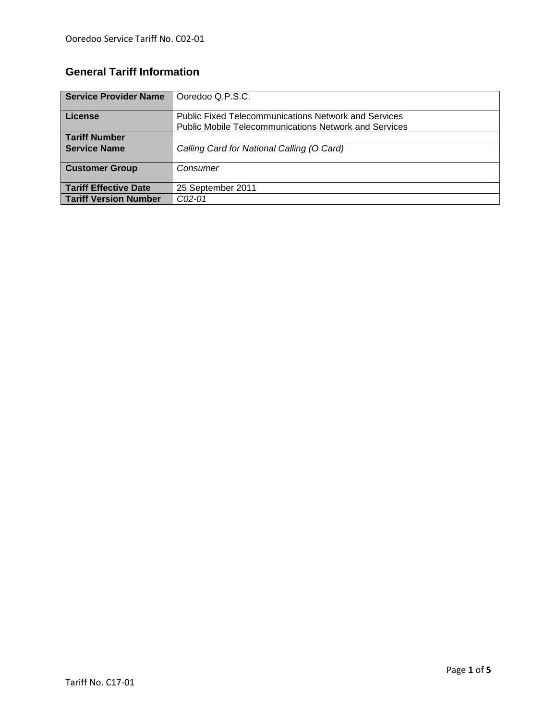# **General Tariff Information**

| <b>Service Provider Name</b> | Ooredoo Q.P.S.C.                                             |  |
|------------------------------|--------------------------------------------------------------|--|
|                              |                                                              |  |
| License                      | <b>Public Fixed Telecommunications Network and Services</b>  |  |
|                              | <b>Public Mobile Telecommunications Network and Services</b> |  |
| <b>Tariff Number</b>         |                                                              |  |
| <b>Service Name</b>          | Calling Card for National Calling (O Card)                   |  |
| <b>Customer Group</b>        | Consumer                                                     |  |
| <b>Tariff Effective Date</b> | 25 September 2011                                            |  |
| <b>Tariff Version Number</b> | $CO2-01$                                                     |  |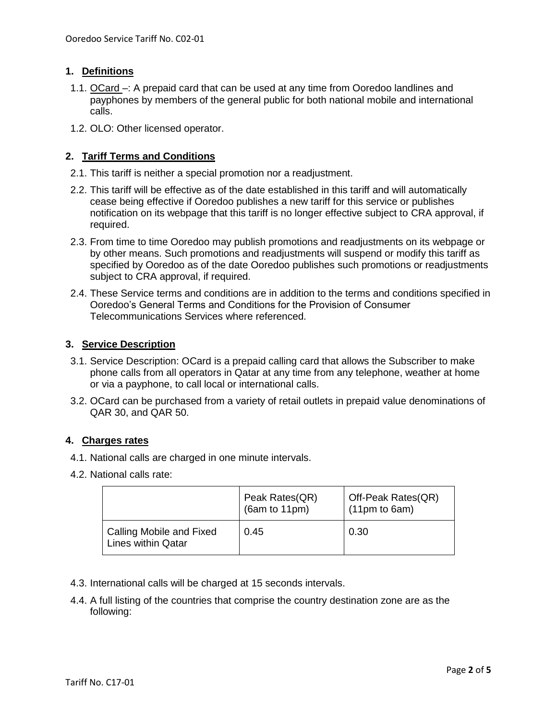# **1. Definitions**

- 1.1. OCard –: A prepaid card that can be used at any time from Ooredoo landlines and payphones by members of the general public for both national mobile and international calls.
- 1.2. OLO: Other licensed operator.

### **2. Tariff Terms and Conditions**

- 2.1. This tariff is neither a special promotion nor a readjustment.
- 2.2. This tariff will be effective as of the date established in this tariff and will automatically cease being effective if Ooredoo publishes a new tariff for this service or publishes notification on its webpage that this tariff is no longer effective subject to CRA approval, if required.
- 2.3. From time to time Ooredoo may publish promotions and readjustments on its webpage or by other means. Such promotions and readjustments will suspend or modify this tariff as specified by Ooredoo as of the date Ooredoo publishes such promotions or readjustments subject to CRA approval, if required.
- 2.4. These Service terms and conditions are in addition to the terms and conditions specified in Ooredoo's General Terms and Conditions for the Provision of Consumer Telecommunications Services where referenced.

#### **3. Service Description**

- 3.1. Service Description: OCard is a prepaid calling card that allows the Subscriber to make phone calls from all operators in Qatar at any time from any telephone, weather at home or via a payphone, to call local or international calls.
- 3.2. OCard can be purchased from a variety of retail outlets in prepaid value denominations of QAR 30, and QAR 50.

#### **4. Charges rates**

- 4.1. National calls are charged in one minute intervals.
- 4.2. National calls rate:

|                                                       | Peak Rates(QR)<br>(6am to 11 $\mu$ m) | Off-Peak Rates(QR)<br>(11pm to 6am) |
|-------------------------------------------------------|---------------------------------------|-------------------------------------|
| Calling Mobile and Fixed<br><b>Lines within Qatar</b> | 0.45                                  | 0.30                                |

- 4.3. International calls will be charged at 15 seconds intervals.
- 4.4. A full listing of the countries that comprise the country destination zone are as the following: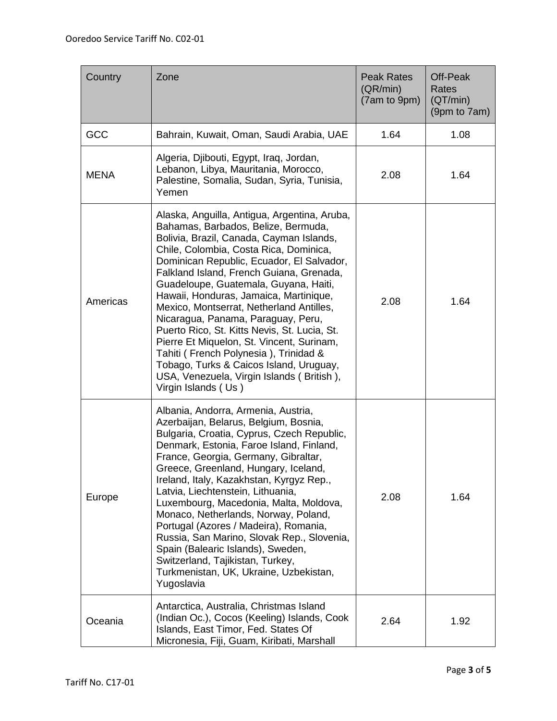| Country     | Zone                                                                                                                                                                                                                                                                                                                                                                                                                                                                                                                                                                                                                                                                                         | <b>Peak Rates</b><br>(QR/min)<br>(7am to 9pm) | Off-Peak<br>Rates<br>(QT/min)<br>(9pm to 7am) |
|-------------|----------------------------------------------------------------------------------------------------------------------------------------------------------------------------------------------------------------------------------------------------------------------------------------------------------------------------------------------------------------------------------------------------------------------------------------------------------------------------------------------------------------------------------------------------------------------------------------------------------------------------------------------------------------------------------------------|-----------------------------------------------|-----------------------------------------------|
| GCC         | Bahrain, Kuwait, Oman, Saudi Arabia, UAE                                                                                                                                                                                                                                                                                                                                                                                                                                                                                                                                                                                                                                                     | 1.64                                          | 1.08                                          |
| <b>MENA</b> | Algeria, Djibouti, Egypt, Iraq, Jordan,<br>Lebanon, Libya, Mauritania, Morocco,<br>Palestine, Somalia, Sudan, Syria, Tunisia,<br>Yemen                                                                                                                                                                                                                                                                                                                                                                                                                                                                                                                                                       | 2.08                                          | 1.64                                          |
| Americas    | Alaska, Anguilla, Antigua, Argentina, Aruba,<br>Bahamas, Barbados, Belize, Bermuda,<br>Bolivia, Brazil, Canada, Cayman Islands,<br>Chile, Colombia, Costa Rica, Dominica,<br>Dominican Republic, Ecuador, El Salvador,<br>Falkland Island, French Guiana, Grenada,<br>Guadeloupe, Guatemala, Guyana, Haiti,<br>Hawaii, Honduras, Jamaica, Martinique,<br>Mexico, Montserrat, Netherland Antilles,<br>Nicaragua, Panama, Paraguay, Peru,<br>Puerto Rico, St. Kitts Nevis, St. Lucia, St.<br>Pierre Et Miquelon, St. Vincent, Surinam,<br>Tahiti (French Polynesia), Trinidad &<br>Tobago, Turks & Caicos Island, Uruguay,<br>USA, Venezuela, Virgin Islands (British),<br>Virgin Islands (Us) | 2.08                                          | 1.64                                          |
| Europe      | Albania, Andorra, Armenia, Austria,<br>Azerbaijan, Belarus, Belgium, Bosnia,<br>Bulgaria, Croatia, Cyprus, Czech Republic,<br>Denmark, Estonia, Faroe Island, Finland,<br>France, Georgia, Germany, Gibraltar,<br>Greece, Greenland, Hungary, Iceland,<br>Ireland, Italy, Kazakhstan, Kyrgyz Rep.,<br>Latvia, Liechtenstein, Lithuania,<br>Luxembourg, Macedonia, Malta, Moldova,<br>Monaco, Netherlands, Norway, Poland,<br>Portugal (Azores / Madeira), Romania,<br>Russia, San Marino, Slovak Rep., Slovenia,<br>Spain (Balearic Islands), Sweden,<br>Switzerland, Tajikistan, Turkey,<br>Turkmenistan, UK, Ukraine, Uzbekistan,<br>Yugoslavia                                            | 2.08                                          | 1.64                                          |
| Oceania     | Antarctica, Australia, Christmas Island<br>(Indian Oc.), Cocos (Keeling) Islands, Cook<br>Islands, East Timor, Fed. States Of<br>Micronesia, Fiji, Guam, Kiribati, Marshall                                                                                                                                                                                                                                                                                                                                                                                                                                                                                                                  | 2.64                                          | 1.92                                          |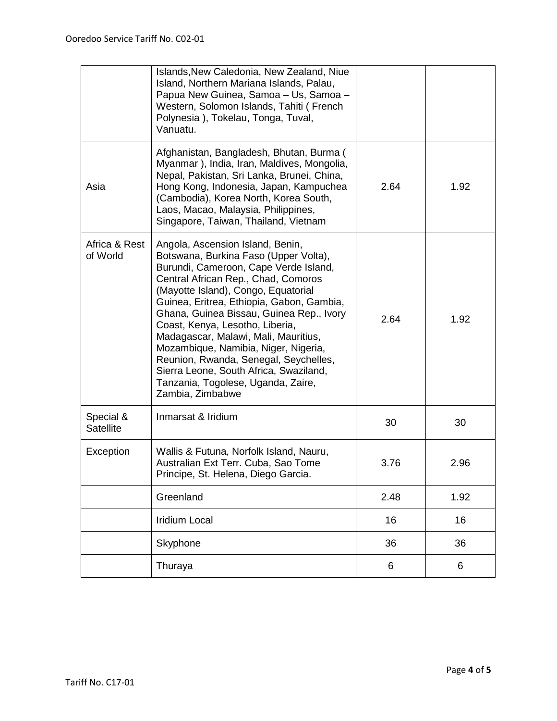|                               | Islands, New Caledonia, New Zealand, Niue<br>Island, Northern Mariana Islands, Palau,<br>Papua New Guinea, Samoa - Us, Samoa -<br>Western, Solomon Islands, Tahiti (French<br>Polynesia), Tokelau, Tonga, Tuval,<br>Vanuatu.                                                                                                                                                                                                                                                                                                                              |      |      |
|-------------------------------|-----------------------------------------------------------------------------------------------------------------------------------------------------------------------------------------------------------------------------------------------------------------------------------------------------------------------------------------------------------------------------------------------------------------------------------------------------------------------------------------------------------------------------------------------------------|------|------|
| Asia                          | Afghanistan, Bangladesh, Bhutan, Burma (<br>Myanmar), India, Iran, Maldives, Mongolia,<br>Nepal, Pakistan, Sri Lanka, Brunei, China,<br>Hong Kong, Indonesia, Japan, Kampuchea<br>(Cambodia), Korea North, Korea South,<br>Laos, Macao, Malaysia, Philippines,<br>Singapore, Taiwan, Thailand, Vietnam                                                                                                                                                                                                                                                    | 2.64 | 1.92 |
| Africa & Rest<br>of World     | Angola, Ascension Island, Benin,<br>Botswana, Burkina Faso (Upper Volta),<br>Burundi, Cameroon, Cape Verde Island,<br>Central African Rep., Chad, Comoros<br>(Mayotte Island), Congo, Equatorial<br>Guinea, Eritrea, Ethiopia, Gabon, Gambia,<br>Ghana, Guinea Bissau, Guinea Rep., Ivory<br>Coast, Kenya, Lesotho, Liberia,<br>Madagascar, Malawi, Mali, Mauritius,<br>Mozambique, Namibia, Niger, Nigeria,<br>Reunion, Rwanda, Senegal, Seychelles,<br>Sierra Leone, South Africa, Swaziland,<br>Tanzania, Togolese, Uganda, Zaire,<br>Zambia, Zimbabwe | 2.64 | 1.92 |
| Special &<br><b>Satellite</b> | Inmarsat & Iridium                                                                                                                                                                                                                                                                                                                                                                                                                                                                                                                                        | 30   | 30   |
| Exception                     | Wallis & Futuna, Norfolk Island, Nauru,<br>Australian Ext Terr. Cuba, Sao Tome<br>Principe, St. Helena, Diego Garcia.                                                                                                                                                                                                                                                                                                                                                                                                                                     | 3.76 | 2.96 |
|                               | Greenland                                                                                                                                                                                                                                                                                                                                                                                                                                                                                                                                                 | 2.48 | 1.92 |
|                               | <b>Iridium Local</b>                                                                                                                                                                                                                                                                                                                                                                                                                                                                                                                                      | 16   | 16   |
|                               | Skyphone                                                                                                                                                                                                                                                                                                                                                                                                                                                                                                                                                  | 36   | 36   |
|                               | Thuraya                                                                                                                                                                                                                                                                                                                                                                                                                                                                                                                                                   | 6    | 6    |